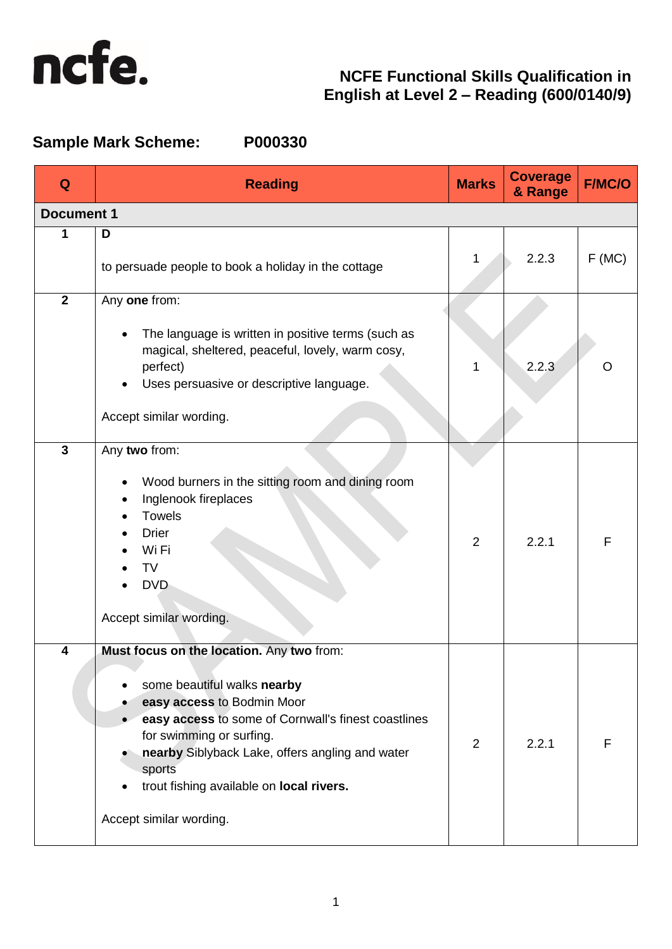

# **Sample Mark Scheme: P000330**

| Q                 | <b>Reading</b>                                                                                                                                                                                                                                                                                                                | <b>Marks</b>   | <b>Coverage</b><br>& Range | <b>F/MC/O</b> |
|-------------------|-------------------------------------------------------------------------------------------------------------------------------------------------------------------------------------------------------------------------------------------------------------------------------------------------------------------------------|----------------|----------------------------|---------------|
| <b>Document 1</b> |                                                                                                                                                                                                                                                                                                                               |                |                            |               |
| 1                 | D<br>to persuade people to book a holiday in the cottage                                                                                                                                                                                                                                                                      | 1              | 2.2.3                      | F(MC)         |
| $\mathbf{2}$      | Any one from:<br>The language is written in positive terms (such as<br>magical, sheltered, peaceful, lovely, warm cosy,<br>perfect)<br>Uses persuasive or descriptive language.<br>Accept similar wording.                                                                                                                    | 1              | 2.2.3                      | ( )           |
| $\mathbf{3}$      | Any two from:<br>Wood burners in the sitting room and dining room<br>Inglenook fireplaces<br><b>Towels</b><br><b>Drier</b><br>Wi Fi<br>TV<br><b>DVD</b><br>Accept similar wording.                                                                                                                                            | $\overline{2}$ | 2.2.1                      | F             |
| 4                 | Must focus on the location. Any two from:<br>some beautiful walks nearby<br>easy access to Bodmin Moor<br>easy access to some of Cornwall's finest coastlines<br>for swimming or surfing.<br>nearby Siblyback Lake, offers angling and water<br>sports<br>trout fishing available on local rivers.<br>Accept similar wording. | 2              | 2.2.1                      | F             |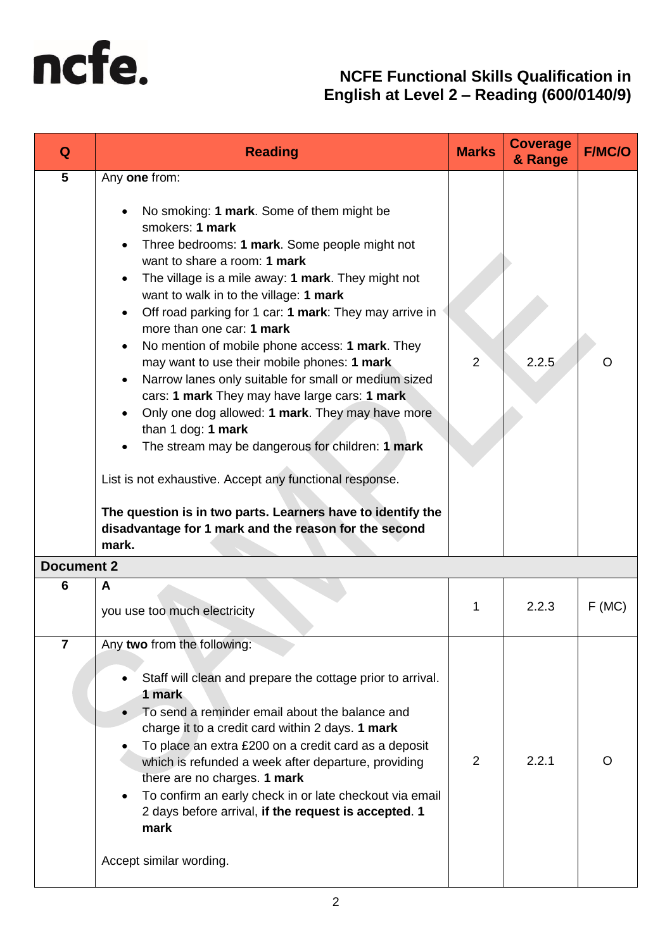

| Q                 | <b>Reading</b>                                                                                                                                                                                                                                                                                                                                                                                                                                                                                                                                                                                                                                                                                                                                                                                                                                                                                                                                                                                     | <b>Marks</b>   | <b>Coverage</b><br>& Range | <b>F/MC/O</b> |
|-------------------|----------------------------------------------------------------------------------------------------------------------------------------------------------------------------------------------------------------------------------------------------------------------------------------------------------------------------------------------------------------------------------------------------------------------------------------------------------------------------------------------------------------------------------------------------------------------------------------------------------------------------------------------------------------------------------------------------------------------------------------------------------------------------------------------------------------------------------------------------------------------------------------------------------------------------------------------------------------------------------------------------|----------------|----------------------------|---------------|
| 5                 | Any one from:<br>No smoking: 1 mark. Some of them might be<br>$\bullet$<br>smokers: 1 mark<br>Three bedrooms: 1 mark. Some people might not<br>$\bullet$<br>want to share a room: 1 mark<br>The village is a mile away: 1 mark. They might not<br>$\bullet$<br>want to walk in to the village: 1 mark<br>Off road parking for 1 car: 1 mark: They may arrive in<br>$\bullet$<br>more than one car: 1 mark<br>No mention of mobile phone access: 1 mark. They<br>$\bullet$<br>may want to use their mobile phones: 1 mark<br>Narrow lanes only suitable for small or medium sized<br>$\bullet$<br>cars: 1 mark They may have large cars: 1 mark<br>Only one dog allowed: 1 mark. They may have more<br>$\bullet$<br>than 1 dog: 1 mark<br>The stream may be dangerous for children: 1 mark<br>$\bullet$<br>List is not exhaustive. Accept any functional response.<br>The question is in two parts. Learners have to identify the<br>disadvantage for 1 mark and the reason for the second<br>mark. | $\overline{2}$ | 2.2.5                      |               |
| <b>Document 2</b> |                                                                                                                                                                                                                                                                                                                                                                                                                                                                                                                                                                                                                                                                                                                                                                                                                                                                                                                                                                                                    |                |                            |               |
| 6                 | A<br>you use too much electricity                                                                                                                                                                                                                                                                                                                                                                                                                                                                                                                                                                                                                                                                                                                                                                                                                                                                                                                                                                  | 1              | 2.2.3                      | F(MC)         |
| $\overline{7}$    | Any two from the following:<br>Staff will clean and prepare the cottage prior to arrival.<br>$\bullet$<br>1 mark<br>To send a reminder email about the balance and<br>$\bullet$<br>charge it to a credit card within 2 days. 1 mark<br>To place an extra £200 on a credit card as a deposit<br>which is refunded a week after departure, providing<br>there are no charges. 1 mark<br>To confirm an early check in or late checkout via email<br>$\bullet$<br>2 days before arrival, if the request is accepted. 1<br>mark<br>Accept similar wording.                                                                                                                                                                                                                                                                                                                                                                                                                                              | $\overline{2}$ | 2.2.1                      |               |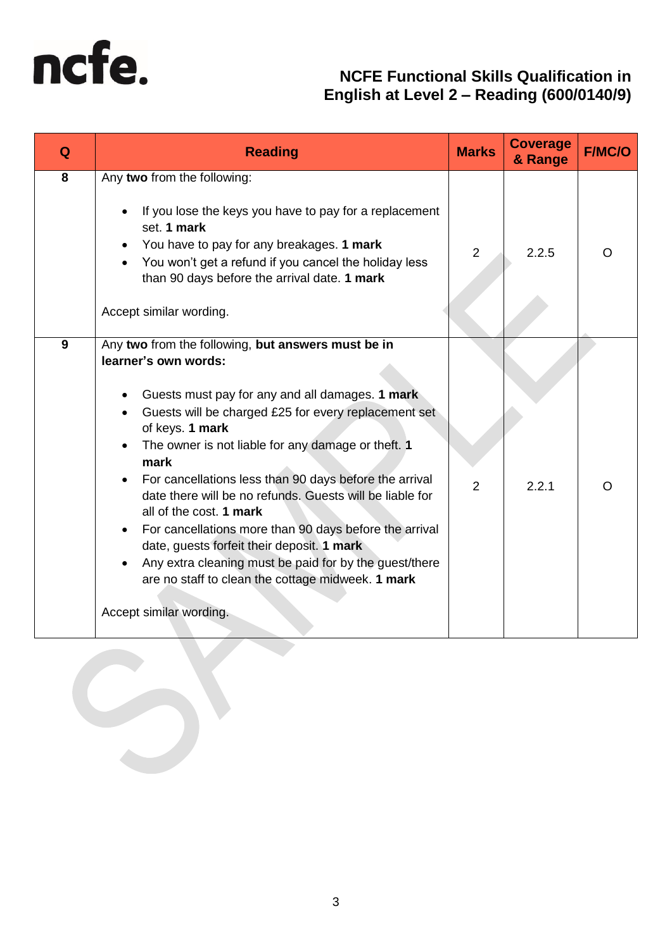

| Q | <b>Reading</b>                                                                                                                                                                                                                                                                                                                                                                                                                                                                                                                                                                                                                                                            | <b>Marks</b> | <b>Coverage</b><br>& Range | <b>F/MC/O</b> |
|---|---------------------------------------------------------------------------------------------------------------------------------------------------------------------------------------------------------------------------------------------------------------------------------------------------------------------------------------------------------------------------------------------------------------------------------------------------------------------------------------------------------------------------------------------------------------------------------------------------------------------------------------------------------------------------|--------------|----------------------------|---------------|
| 8 | Any two from the following:<br>If you lose the keys you have to pay for a replacement<br>set. 1 mark<br>You have to pay for any breakages. 1 mark<br>You won't get a refund if you cancel the holiday less<br>than 90 days before the arrival date. 1 mark<br>Accept similar wording.                                                                                                                                                                                                                                                                                                                                                                                     | 2            | 2.2.5                      |               |
| 9 | Any two from the following, but answers must be in<br>learner's own words:<br>Guests must pay for any and all damages. 1 mark<br>Guests will be charged £25 for every replacement set<br>of keys. 1 mark<br>The owner is not liable for any damage or theft. 1<br>mark<br>For cancellations less than 90 days before the arrival<br>date there will be no refunds. Guests will be liable for<br>all of the cost. 1 mark<br>For cancellations more than 90 days before the arrival<br>date, guests forfeit their deposit. 1 mark<br>Any extra cleaning must be paid for by the guest/there<br>are no staff to clean the cottage midweek. 1 mark<br>Accept similar wording. | 2            | 2.2.1                      |               |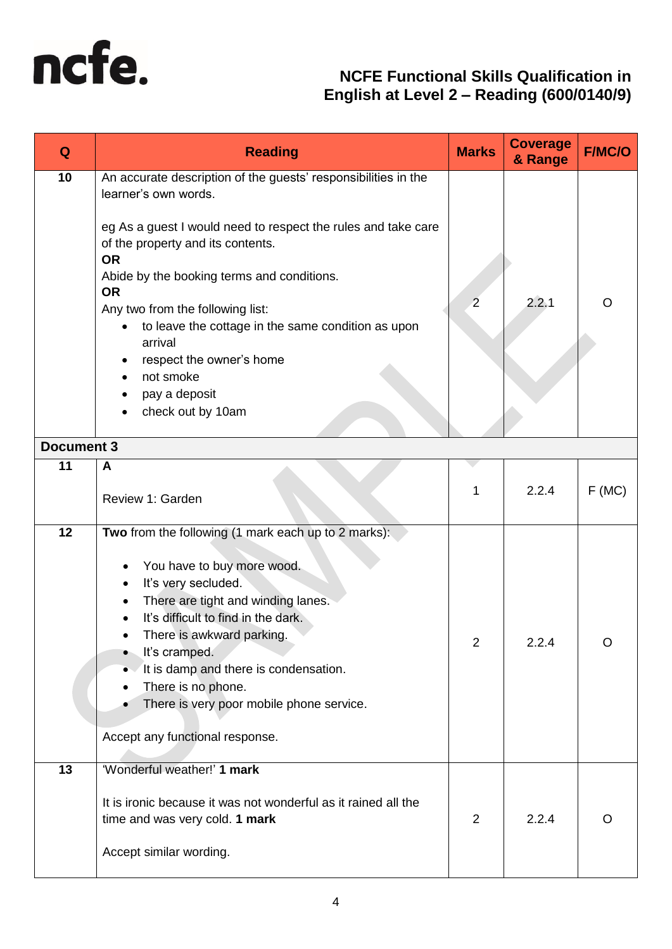

| Q                 | <b>Reading</b>                                                                                                                                                                                                                                                                                                                                                                                                                                           | <b>Marks</b>   | <b>Coverage</b><br>& Range | <b>F/MC/O</b> |
|-------------------|----------------------------------------------------------------------------------------------------------------------------------------------------------------------------------------------------------------------------------------------------------------------------------------------------------------------------------------------------------------------------------------------------------------------------------------------------------|----------------|----------------------------|---------------|
| 10                | An accurate description of the guests' responsibilities in the<br>learner's own words.<br>eg As a guest I would need to respect the rules and take care<br>of the property and its contents.<br><b>OR</b><br>Abide by the booking terms and conditions.<br><b>OR</b><br>Any two from the following list:<br>to leave the cottage in the same condition as upon<br>arrival<br>respect the owner's home<br>not smoke<br>pay a deposit<br>check out by 10am | $\overline{2}$ | 2.2.1                      | O             |
| <b>Document 3</b> |                                                                                                                                                                                                                                                                                                                                                                                                                                                          |                |                            |               |
| 11                | A<br>Review 1: Garden                                                                                                                                                                                                                                                                                                                                                                                                                                    | 1              | 2.2.4                      | F(MC)         |
| 12                | Two from the following (1 mark each up to 2 marks):<br>You have to buy more wood.<br>It's very secluded.<br>٠<br>There are tight and winding lanes.<br>It's difficult to find in the dark.<br>There is awkward parking.<br>It's cramped.<br>$\bullet$<br>It is damp and there is condensation.<br>There is no phone.<br>There is very poor mobile phone service.<br>Accept any functional response.                                                      | $\mathbf{z}$   | 2.2.4                      | Ő             |
| 13                | 'Wonderful weather!' 1 mark<br>It is ironic because it was not wonderful as it rained all the<br>time and was very cold. 1 mark<br>Accept similar wording.                                                                                                                                                                                                                                                                                               | 2              | 2.2.4                      | O             |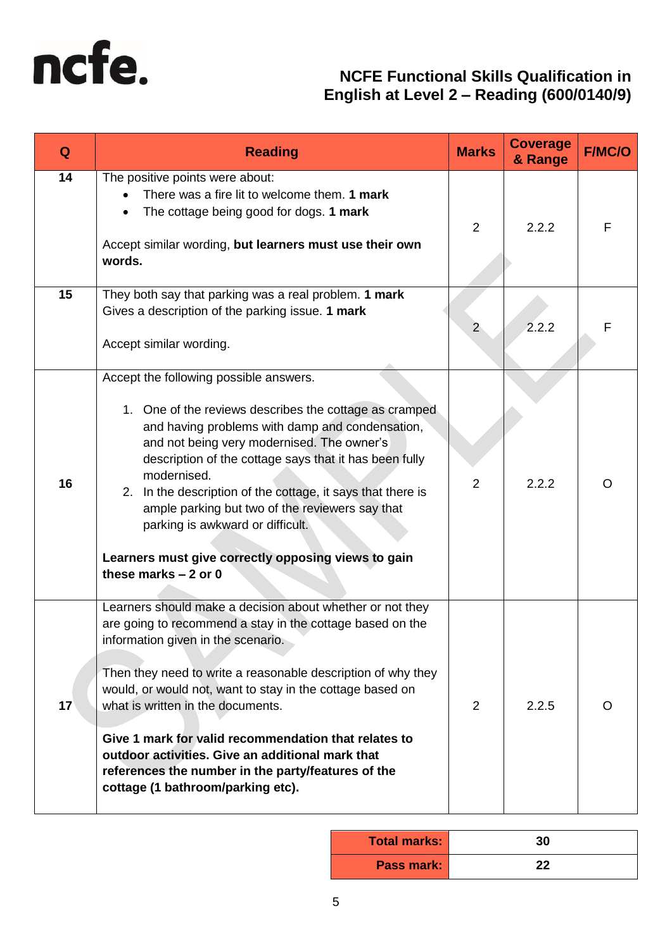

| Q  | <b>Reading</b>                                                                                                                                                                                                                                                                                                                                                                                                                                                                                                                        | <b>Marks</b> | <b>Coverage</b><br>& Range | <b>F/MC/O</b> |
|----|---------------------------------------------------------------------------------------------------------------------------------------------------------------------------------------------------------------------------------------------------------------------------------------------------------------------------------------------------------------------------------------------------------------------------------------------------------------------------------------------------------------------------------------|--------------|----------------------------|---------------|
| 14 | The positive points were about:<br>There was a fire lit to welcome them. 1 mark<br>The cottage being good for dogs. 1 mark<br>Accept similar wording, but learners must use their own<br>words.                                                                                                                                                                                                                                                                                                                                       | 2            | 2.2.2                      | F             |
| 15 | They both say that parking was a real problem. 1 mark<br>Gives a description of the parking issue. 1 mark<br>Accept similar wording.                                                                                                                                                                                                                                                                                                                                                                                                  | $2^{\circ}$  | 2.2.2                      | F             |
| 16 | Accept the following possible answers.<br>1. One of the reviews describes the cottage as cramped<br>and having problems with damp and condensation,<br>and not being very modernised. The owner's<br>description of the cottage says that it has been fully<br>modernised.<br>2. In the description of the cottage, it says that there is<br>ample parking but two of the reviewers say that<br>parking is awkward or difficult.<br>Learners must give correctly opposing views to gain<br>these marks $-2$ or 0                      | 2            | 2.2.2                      | $\Omega$      |
| 17 | Learners should make a decision about whether or not they<br>are going to recommend a stay in the cottage based on the<br>information given in the scenario.<br>Then they need to write a reasonable description of why they<br>would, or would not, want to stay in the cottage based on<br>what is written in the documents.<br>Give 1 mark for valid recommendation that relates to<br>outdoor activities. Give an additional mark that<br>references the number in the party/features of the<br>cottage (1 bathroom/parking etc). | 2            | 2.2.5                      | O             |

| <b>Total marks:</b> | 30 |
|---------------------|----|
| Pass mark:          | 22 |